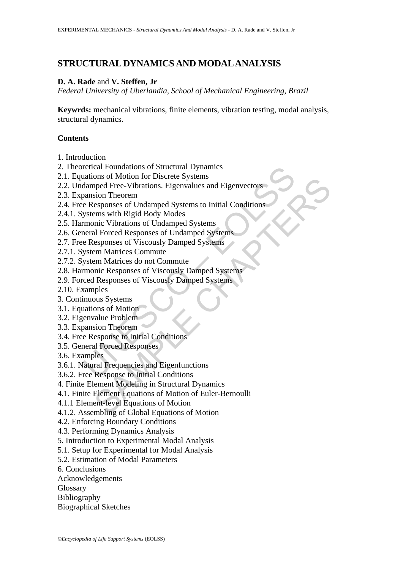## **STRUCTURAL DYNAMICS AND MODAL ANALYSIS**

### **D. A. Rade** and **V. Steffen, Jr**

*Federal University of Uberlandia, School of Mechanical Engineering, Brazil* 

**Keywrds:** mechanical vibrations, finite elements, vibration testing, modal analysis, structural dynamics.

### **Contents**

- 1. Introduction
- 2. Theoretical Foundations of Structural Dynamics
- 2.1. Equations of Motion for Discrete Systems
- retical Foundations of Structural Dynamics<br>
adamped Free-Vibrations. Eigenvalues and Eigenvectors<br>
January Theorem<br>
Theorem e Responses of Undamped Systems to Initial Conditions<br>
ystems with Rigid Body Modes<br>
monic Vibrati The Street Systems<br>
The Street Systems<br>
and Free-Vibrations. Eigenvalues and Eigenvectors<br>
sion Theorem<br>
esponses of Undamped Systems<br>
and Eigenvalues of Undamped Systems<br>
al Forced Responses of Undamped Systems<br>
al Forced 2.2. Undamped Free-Vibrations. Eigenvalues and Eigenvectors
- 2.3. Expansion Theorem
- 2.4. Free Responses of Undamped Systems to Initial Conditions
- 2.4.1. Systems with Rigid Body Modes
- 2.5. Harmonic Vibrations of Undamped Systems
- 2.6. General Forced Responses of Undamped Systems
- 2.7. Free Responses of Viscously Damped Systems
- 2.7.1. System Matrices Commute
- 2.7.2. System Matrices do not Commute
- 2.8. Harmonic Responses of Viscously Damped Systems
- 2.9. Forced Responses of Viscously Damped Systems
- 2.10. Examples
- 3. Continuous Systems
- 3.1. Equations of Motion
- 3.2. Eigenvalue Problem
- 3.3. Expansion Theorem
- 3.4. Free Response to Initial Conditions
- 3.5. General Forced Responses
- 3.6. Examples
- 3.6.1. Natural Frequencies and Eigenfunctions
- 3.6.2. Free Response to Initial Conditions
- 4. Finite Element Modeling in Structural Dynamics
- 4.1. Finite Element Equations of Motion of Euler-Bernoulli
- 4.1.1 Element-level Equations of Motion
- 4.1.2. Assembling of Global Equations of Motion
- 4.2. Enforcing Boundary Conditions
- 4.3. Performing Dynamics Analysis
- 5. Introduction to Experimental Modal Analysis
- 5.1. Setup for Experimental for Modal Analysis
- 5.2. Estimation of Modal Parameters
- 6. Conclusions
- Acknowledgements
- Glossary
- Bibliography
- Biographical Sketches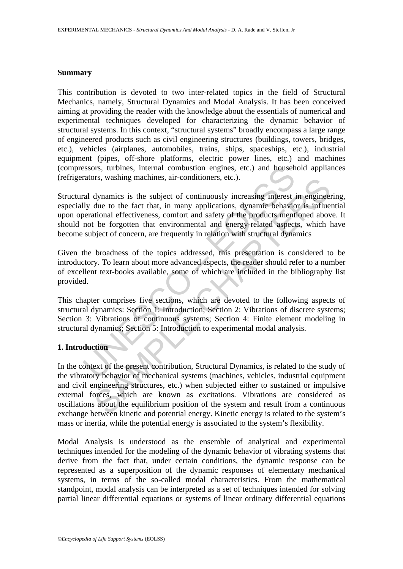#### **Summary**

This contribution is devoted to two inter-related topics in the field of Structural Mechanics, namely, Structural Dynamics and Modal Analysis. It has been conceived aiming at providing the reader with the knowledge about the essentials of numerical and experimental techniques developed for characterizing the dynamic behavior of structural systems. In this context, "structural systems" broadly encompass a large range of engineered products such as civil engineering structures (buildings, towers, bridges, etc.), vehicles (airplanes, automobiles, trains, ships, spaceships, etc.), industrial equipment (pipes, off-shore platforms, electric power lines, etc.) and machines (compressors, turbines, internal combustion engines, etc.) and household appliances (refrigerators, washing machines, air-conditioners, etc.).

between the meaning combustion engines, etc.) and househ actors, washing machines, air-conditioners, etc.).<br>The dynamics is the subject of continuously increasing interest illy due to the fact that, in many applications, d Structural dynamics is the subject of continuously increasing interest in engineering, especially due to the fact that, in many applications, dynamic behavior is influential upon operational effectiveness, comfort and safety of the products mentioned above. It should not be forgotten that environmental and energy-related aspects, which have become subject of concern, are frequently in relation with structural dynamics

Given the broadness of the topics addressed, this presentation is considered to be introductory. To learn about more advanced aspects, the reader should refer to a number of excellent text-books available, some of which are included in the bibliography list provided.

This chapter comprises five sections, which are devoted to the following aspects of structural dynamics: Section 1: Introduction; Section 2: Vibrations of discrete systems; Section 3: Vibrations of continuous systems; Section 4: Finite element modeling in structural dynamics; Section 5: Introduction to experimental modal analysis.

#### **1. Introduction**

Is, wasning macnines, air-conditioners, etc.).<br>
dynamics is the subject of continuously increasing interest in enginee<br>
due to the fact that, in many applications, dynamic behavior is influe<br>
itional effectiveness, comfort In the context of the present contribution, Structural Dynamics, is related to the study of the vibratory behavior of mechanical systems (machines, vehicles, industrial equipment and civil engineering structures, etc.) when subjected either to sustained or impulsive external forces, which are known as excitations. Vibrations are considered as oscillations about the equilibrium position of the system and result from a continuous exchange between kinetic and potential energy. Kinetic energy is related to the system's mass or inertia, while the potential energy is associated to the system's flexibility.

Modal Analysis is understood as the ensemble of analytical and experimental techniques intended for the modeling of the dynamic behavior of vibrating systems that derive from the fact that, under certain conditions, the dynamic response can be represented as a superposition of the dynamic responses of elementary mechanical systems, in terms of the so-called modal characteristics. From the mathematical standpoint, modal analysis can be interpreted as a set of techniques intended for solving partial linear differential equations or systems of linear ordinary differential equations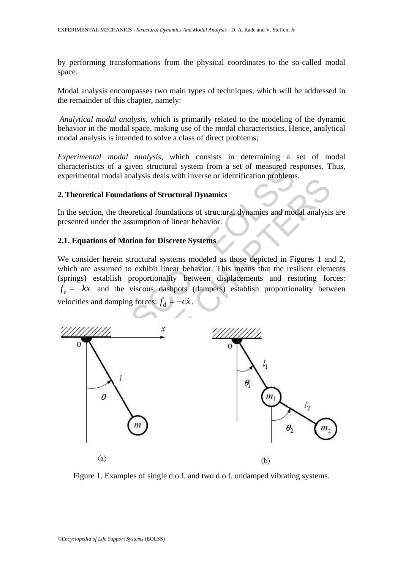by performing transformations from the physical coordinates to the so-called modal space.

Modal analysis encompasses two main types of techniques, which will be addressed in the remainder of this chapter, namely:

*Analytical modal analysis*, which is primarily related to the modeling of the dynamic behavior in the modal space, making use of the modal characteristics. Hence, analytical modal analysis is intended to solve a class of direct problems;

*Experimental modal analysis*, which consists in determining a set of modal characteristics of a given structural system from a set of measured responses. Thus, experimental modal analysis deals with inverse or identification problems.

#### **2. Theoretical Foundations of Structural Dynamics**

In the section, the theoretical foundations of structural dynamics and modal analysis are presented under the assumption of linear behavior.

#### **2.1. Equations of Motion for Discrete Systems**

We consider herein structural systems modeled as those depicted in Figures 1 and 2, which are assumed to exhibit linear behavior. This means that the resilient elements (springs) establish proportionality between displacements and restoring forces:  $f_e = -kx$  and the viscous dashpots (dampers) establish proportionality between velocities and damping forces:  $f_d = -c\dot{x}$ .



Figure 1. Examples of single d.o.f. and two d.o.f. undamped vibrating systems.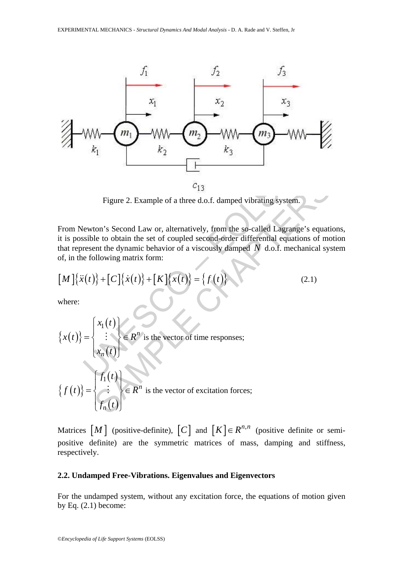

Figure 2. Example of a three d.o.f. damped vibrating system.

From Newton's Second Law or, alternatively, from the so-called Lagrange's equations, it is possible to obtain the set of coupled second-order differential equations of motion that represent the dynamic behavior of a viscously damped *N* d.o.f. mechanical system of, in the following matrix form:

$$
[M]\{\ddot{x}(t)\} + [C]\{\dot{x}(t)\} + [K]\{x(t)\} = \{f(t)\}
$$
\n(2.1)

where:

Figure 2. Example of a three d.o.f. damped vibrating system.  
\nFrom Newton's Second Law or, alternatively, from the so-called Lagrange's equation  
\nthat represent the dynamic behavior of a viscosity damped N d.o.f. mechanical sys  
\nof, in the following matrix form:  
\n
$$
[M] {\{\ddot{x}(t)\} + [C] {\{\dot{x}(t)\} + [K] {\{x(t)\} = \{f(t)\}} } \qquad (2.1)
$$
\nwhere:  
\n
$$
{x(t)} = \begin{cases} x_1(t) \\ \vdots \\ x_n(t) \end{cases} \in R^n \text{ is the vector of time responses;} \\ {\{f(t)\} = \begin{cases} f_1(t) \\ \vdots \\ f_n(t) \end{cases}} \in R^n \text{ is the vector of excitation forces;} \\ f_n(t) = \begin{cases} x_1(t) \\ \vdots \\ x_n(t) \end{cases}
$$

Matrices  $[M]$  (positive-definite),  $[C]$  and  $[K] \in R^{n,n}$  (positive definite or semipositive definite) are the symmetric matrices of mass, damping and stiffness, respectively.

#### **2.2. Undamped Free-Vibrations. Eigenvalues and Eigenvectors**

For the undamped system, without any excitation force, the equations of motion given by Eq.  $(2.1)$  become: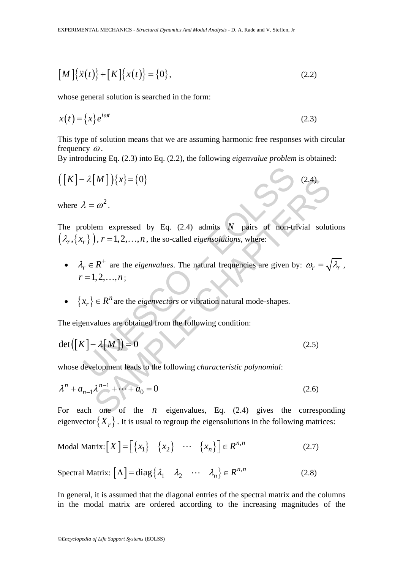$$
[M]\{\ddot{x}(t)\} + [K]\{x(t)\} = \{0\},
$$
\n(2.2)

whose general solution is searched in the form:

$$
x(t) = \{x\} e^{i\omega t}
$$
 (2.3)

This type of solution means that we are assuming harmonic free responses with circular frequency  $\omega$ .

By introducing Eq. (2.3) into Eq. (2.2), the following *eigenvalue problem* is obtained:

$$
([K] - \lambda[M])\{x\} = \{0\}
$$
\nwhere  $\lambda = \omega^2$ .

\nThe problem expressed by Eq. (2.4) admits  $N$  pairs of non-trivial solution  $(\lambda_r, \{x_r\})$ ,  $r = 1, 2, \ldots, n$ , the so-called *eigensolutions*, where:

\n\n- $\lambda_r \in R^+$  are the *eigenvalues*. The natural frequencies are given by:  $\omega_r = \sqrt{r} = 1, 2, \ldots, n$ ;
\n- $\{x_r\} \in R^n$  are the *eigenvectors* or vibration natural mode-shapes.
\n
\nThe eigenvalues are obtained from the following condition:

\n $\det([K] - \lambda[M]) = 0$ 

\n(2.5)

\nwhose development leads to the following *characteristic polynomial*:

\n $\lambda^n + a_{n-1}\lambda^{n-1} + \cdots + a_0 = 0$ 

\n(2.6)

\nFor each one of the *n* eigenvalues, Eq. (2.4) gives the correspondence of the *n* eigenvalues, Eq. (2.4) gives the correspondence of the *n* eigenvalues, Eq. (2.4) gives the corresponding eigensities of the *n* eigenvalues, Eq. (2.4) gives the corresponding eigensities of the *n* eigenvalues, Eq. (2.4) gives the corresponding eigensities of the *n* eigenvalues, and the *n* eigenvalues, Eq. (2.4) gives the corresponding eigensities of the *n* eigenvalues,  $\omega_r = \sqrt{1 + \omega_r^2 + \omega_r^2}$ .

The problem expressed by Eq.  $(2.4)$  admits *N* pairs of non-trivial solutions  $(\lambda_r, \{x_r\})$ ,  $r = 1,2,...,n$ , the so-called *eigensolutions*, where:

- $\lambda_r \in R^+$  are the *eigenvalues*. The natural frequencies are given by:  $\omega_r = \sqrt{\lambda_r}$ ,  $r = 1, 2, ..., n$ ;
- $\{x_r\} \in R^n$  are the *eigenvectors* or vibration natural mode-shapes.

The eigenvalues are obtained from the following condition:

$$
\det([K] - \lambda[M]) = 0 \tag{2.5}
$$

whose development leads to the following *characteristic polynomial*:

$$
\lambda^{n} + a_{n-1}\lambda^{n-1} + \dots + a_0 = 0
$$
 (2.6)

For each one of the  $n$  eigenvalues, Eq.  $(2.4)$  gives the corresponding eigenvector  ${X<sub>r</sub>}$ . It is usual to regroup the eigensolutions in the following matrices:

$$
\text{Modal Matrix:}\begin{bmatrix} X \end{bmatrix} = \begin{bmatrix} \{x_1\} & \{x_2\} & \cdots & \{x_n\} \end{bmatrix} \in R^{n,n} \tag{2.7}
$$

$$
\text{Spectral Matrix: } [\Lambda] = \text{diag} \{ \lambda_1 \quad \lambda_2 \quad \cdots \quad \lambda_n \} \in R^{n,n} \tag{2.8}
$$

In general, it is assumed that the diagonal entries of the spectral matrix and the columns in the modal matrix are ordered according to the increasing magnitudes of the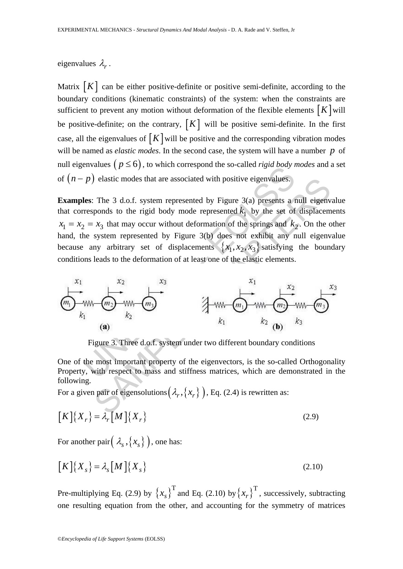#### eigenvalues  $\lambda_r$ .

Matrix  $[K]$  can be either positive-definite or positive semi-definite, according to the boundary conditions (kinematic constraints) of the system: when the constraints are sufficient to prevent any motion without deformation of the flexible elements  $[K]$  will be positive-definite; on the contrary,  $[K]$  will be positive semi-definite. In the first case, all the eigenvalues of  $[K]$  will be positive and the corresponding vibration modes will be named as *elastic modes*. In the second case, the system will have a number *p* of null eigenvalues  $(p \le 6)$ , to which correspond the so-called *rigid body modes* and a set of  $(n - p)$  elastic modes that are associated with positive eigenvalues.

EVALUES ( $p \le 0$ ), to which consispond the so-called *Hgta body t*<br>
Les: The 3 d.o.f. system represented by Figure 3(a) presents a responds to the rigid body mode represented  $k_1$  by the set of<br>  $z = x_3$  that may occur example and the associated with positive eigenvalues.<br>
The 3 d.o.f. system represented by Figure 3(a) presents a null eigenv<br>
ponds to the rigid body mode represented  $k_1$  by the set of displacem<br>  $x_3$  that may occur wi **Examples**: The 3 d.o.f. system represented by Figure 3(a) presents a null eigenvalue that corresponds to the rigid body mode represented  $k_1$  by the set of displacements  $x_1 = x_2 = x_3$  that may occur without deformation of the springs and  $k_2$ . On the other hand, the system represented by Figure 3(b) does not exhibit any null eigenvalue because any arbitrary set of displacements  $\{x_1, x_2, x_3\}$  satisfying the boundary conditions leads to the deformation of at least one of the elastic elements.



Figure 3. Three d.o.f. system under two different boundary conditions

One of the most important property of the eigenvectors, is the so-called Orthogonality Property, with respect to mass and stiffness matrices, which are demonstrated in the following.

For a given pair of eigensolutions  $(\lambda_r, \{x_r\})$ , Eq. (2.4) is rewritten as:

$$
[K]\{X_r\} = \lambda_r[M]\{X_r\}
$$
 (2.9)

For another pair $(\lambda_s, \{x_s\})$ , one has:

$$
\left[K\right]\left\{X_s\right\} = \lambda_s \left[M\right]\left\{X_s\right\} \tag{2.10}
$$

Pre-multiplying Eq. (2.9) by  $\{x_s\}^T$  and Eq. (2.10) by  $\{x_r\}^T$ , successively, subtracting one resulting equation from the other, and accounting for the symmetry of matrices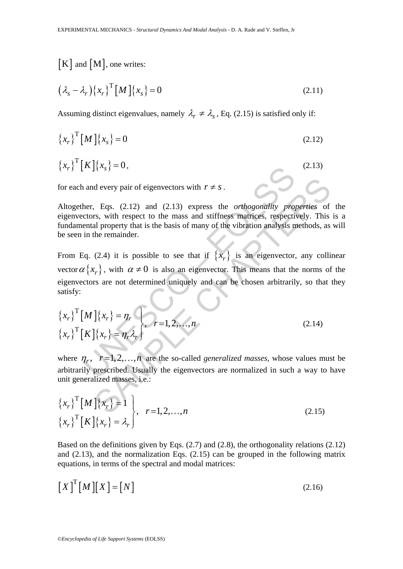# $[K]$  and  $[M]$ , one writes:

$$
\left(\lambda_s - \lambda_r\right) \left\{x_r\right\}^{\mathrm{T}} \left[M\right] \left\{x_s\right\} = 0\tag{2.11}
$$

Assuming distinct eigenvalues, namely  $\lambda_r \neq \lambda_s$ , Eq. (2.15) is satisfied only if:

$$
\left\{x_r\right\}^{\mathrm{T}} \left[M\right] \left\{x_s\right\} = 0\tag{2.12}
$$

$$
\left\{x_r\right\}^{\mathrm{T}}\left[K\right]\left\{x_s\right\} = 0,\tag{2.13}
$$

for each and every pair of eigenvectors with  $r \neq s$ .

Altogether, Eqs. (2.12) and (2.13) express the *orthogonality properties* of the eigenvectors, with respect to the mass and stiffness matrices, respectively. This is a fundamental property that is the basis of many of the vibration analysis methods, as will be seen in the remainder.

A  $\{x_s\} = 0$ ,<br>
and every pair of eigenvectors with  $r \neq s$ .<br>
her, Eqs. (2.12) and (2.13) express the *orthogonality projectors*, with respect to the mass and stiffness matrices, respectiontal property that is the basis o d every pair of eigenvectors with  $r \neq s$ .<br>
Figs. (2.12) and (2.13) express the *orthogonality properties* of<br>
strikes matrices, respectively. This<br>
all property that is the basis of many of the vibration analysis methods From Eq. (2.4) it is possible to see that if  $\{x_r\}$  is an eigenvector, any collinear vector  $\alpha \{x_r\}$ , with  $\alpha \neq 0$  is also an eigenvector. This means that the norms of the eigenvectors are not determined uniquely and can be chosen arbitrarily, so that they satisfy:

$$
\left\{x_r\right\}^{\mathrm{T}}[M]\left\{x_r\right\} = \eta_r
$$
\n
$$
\left\{x_r\right\}^{\mathrm{T}}[K]\left\{x_r\right\} = \eta_r \lambda_r
$$
\n(2.14)

where  $\eta_r$ ,  $r=1,2,...,n$  are the so-called *generalized masses*, whose values must be arbitrarily prescribed. Usually the eigenvectors are normalized in such a way to have unit generalized masses, i.e.:

$$
\begin{aligned}\n\left\{x_r\right\}^{\mathrm{T}} \left[M\right] \left\{x_r\right\} &= 1 \\
\left\{x_r\right\}^{\mathrm{T}} \left[K\right] \left\{x_r\right\} &= \lambda_r\n\end{aligned}\n\bigg\}, \quad r = 1, 2, \dots, n\n\tag{2.15}
$$

Based on the definitions given by Eqs. (2.7) and (2.8), the orthogonality relations (2.12) and (2.13), and the normalization Eqs. (2.15) can be grouped in the following matrix equations, in terms of the spectral and modal matrices:

$$
\left[X\right]^{T}\left[M\right]\left[X\right] = \left[N\right]
$$
\n(2.16)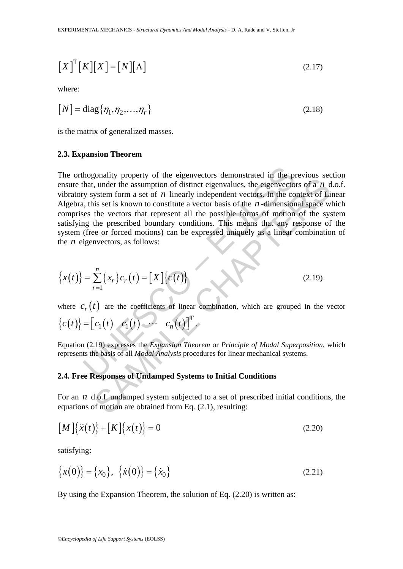$$
\left[X\right]^{T}\left[K\right]\left[X\right] = \left[N\right]\left[\Lambda\right] \tag{2.17}
$$

where:

$$
[N] = \text{diag}\{\eta_1, \eta_2, \dots, \eta_r\}
$$
 (2.18)

is the matrix of generalized masses.

#### **2.3. Expansion Theorem**

hogonality property of the eigenvectors demonstrated in the p<br>hat, under the assumption of distinct eigenvalues, the eigenvector<br>y system form a set of *n* linearly independent vectors. In the co<br>i, this set is known to c shall y plotter) or are eigenvectors demonstrated in the plevious section<br>that the assumption of distinct eigenvalues, the eigenvectors of a *n* d<br>ystem form a set of *n* linearly independent vectors. In the context of Li The orthogonality property of the eigenvectors demonstrated in the previous section ensure that, under the assumption of distinct eigenvalues, the eigenvectors of a *n* d.o.f. vibratory system form a set of *n* linearly independent vectors. In the context of Linear Algebra, this set is known to constitute a vector basis of the *n* -dimensional space which comprises the vectors that represent all the possible forms of motion of the system satisfying the prescribed boundary conditions. This means that any response of the system (free or forced motions) can be expressed uniquely as a linear combination of the *n* eigenvectors, as follows:

$$
\{x(t)\} = \sum_{r=1}^{n} \{x_r\} c_r(t) = [X] \{c(t)\}
$$
\n(2.19)

where  $c_r(t)$  are the coefficients of linear combination, which are grouped in the vector

$$
\{c(t)\}=\begin{bmatrix}c_1(t)&c_1(t)&\cdots&c_n(t)\end{bmatrix}^T.
$$

Equation (2.19) expresses the *Expansion Theorem* or *Principle of Modal Superposition*, which represents the basis of all *Modal Analysis* procedures for linear mechanical systems.

### **2.4. Free Responses of Undamped Systems to Initial Conditions**

For an *n* d.o.f. undamped system subjected to a set of prescribed initial conditions, the equations of motion are obtained from Eq. (2.1), resulting:

$$
[M]\{\ddot{x}(t)\} + [K]\{x(t)\} = 0
$$
\n(2.20)

satisfying:

$$
\{x(0)\} = \{x_0\}, \ \{\dot{x}(0)\} = \{\dot{x}_0\}
$$
\n(2.21)

By using the Expansion Theorem, the solution of Eq. (2.20) is written as: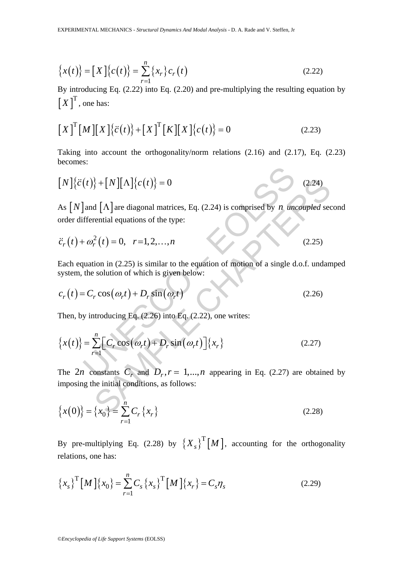$$
\{x(t)\} = [X]\{c(t)\} = \sum_{r=1}^{n} \{x_r\} c_r(t)
$$
\n(2.22)

By introducing Eq. (2.22) into Eq. (2.20) and pre-multiplying the resulting equation by  $[X]^{T}$ , one has:

$$
\left[X\right]^{T}\left[M\right]\left[X\right]\left\{\ddot{c}(t)\right\}+\left[X\right]^{T}\left[K\right]\left[X\right]\left\{c(t)\right\}=0
$$
\n(2.23)

Taking into account the orthogonality/norm relations (2.16) and (2.17), Eq. (2.23) becomes:

$$
[N]\{\ddot{c}(t)\} + [N][\Lambda]\{c(t)\} = 0
$$
\n(2.24)

As  $[N]$  and  $[\Lambda]$  are diagonal matrices, Eq. (2.24) is comprised by *n uncoupled* second order differential equations of the type:

$$
\ddot{c}_r(t) + \omega_r^2(t) = 0, \quad r = 1, 2, \dots, n \tag{2.25}
$$

Each equation in (2.25) is similar to the equation of motion of a single d.o.f. undamped system, the solution of which is given below:

$$
c_r(t) = C_r \cos(\omega_r t) + D_r \sin(\omega_r t)
$$
 (2.26)

Then, by introducing Eq. (2.26) into Eq. (2.22), one writes:

$$
[N]\{\ddot{c}(t)\} + [N][\Lambda]\{c(t)\} = 0
$$
\nAs  $[N]$  and  $[\Lambda]$  are diagonal matrices, Eq. (2.24) is comprised by *n* uncoupled sec  
\norder differential equations of the type:  
\n $\ddot{c}_r(t) + \omega_r^2(t) = 0, r = 1, 2, ..., n$  (2.25)  
\nEach equation in (2.25) is similar to the equation of motion of a single d.o.f. undan  
\nsystem, the solution of which is given below:  
\n $c_r(t) = C_r \cos(\omega_r t) + D_r \sin(\omega_r t)$  (2.26)  
\nThen, by introducing Eq. (2.26) into Eq. (2.22), one writes:  
\n
$$
\{x(t)\} = \sum_{r=1}^{n} [C_r \cos(\omega_r t) + D_r \sin(\omega_r t)] \{x_r\}
$$
 (2.27)  
\nThe 2*n* constants  $C_r$  and  $D_r$ ,  $r = 1,...,n$  appearing in Eq. (2.27) are obtained  
\nimposing the initial conditions, as follows:  
\n
$$
\{x(0)\} = \{x_0\} = \sum_{r=1}^{n} [C_r \{x_r\}
$$
 (2.28)

The 2*n* constants  $C_r$  and  $D_r$ ,  $r = 1,..., n$  appearing in Eq. (2.27) are obtained by imposing the initial conditions, as follows:

$$
\{x(0)\} = \{x_0\} = \sum_{r=1}^n C_r \{x_r\}
$$
\n(2.28)

By pre-multiplying Eq. (2.28) by  $\left\{X_s\right\}^T[M]$ , accounting for the orthogonality relations, one has:

$$
\left\{x_s\right\}^{\mathrm{T}}\left[M\right]\left\{x_0\right\} = \sum_{r=1}^n C_s \left\{x_s\right\}^{\mathrm{T}}\left[M\right]\left\{x_r\right\} = C_s \eta_s \tag{2.29}
$$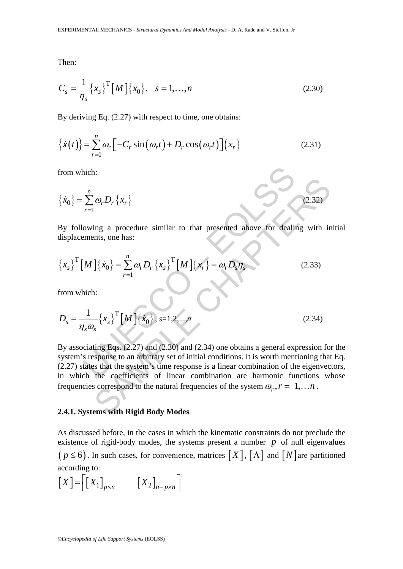Then:

$$
C_s = \frac{1}{\eta_s} \{x_s\}^{\text{T}} [M] \{x_0\}, \quad s = 1, ..., n
$$
 (2.30)

By deriving Eq. (2.27) with respect to time, one obtains:

$$
\left\{\dot{x}(t)\right\} = \sum_{r=1}^{n} \omega_r \left[ -C_r \sin\left(\omega_r t\right) + D_r \cos\left(\omega_r t\right) \right] \left\{x_r\right\} \tag{2.31}
$$

from which:

$$
\{\dot{x}_0\} = \sum_{r=1}^n \omega_r D_r \{x_r\}
$$
 (2.32)

By following a procedure similar to that presented above for dealing with initial displacements, one has:

$$
\left\{x_s\right\}^{\mathrm{T}}\left[M\right]\left\{\dot{x}_0\right\} = \sum_{r=1}^n \omega_r D_r \left\{x_s\right\}^{\mathrm{T}}\left[M\right]\left\{x_r\right\} = \omega_r D_s \eta_s \tag{2.33}
$$

from which:

$$
D_s = \frac{1}{\eta_s \omega_s} \{x_s\}^{\text{T}} [M] \{x_0\}, s = 1, 2, ..., n
$$
 (2.34)

nich:<br>  $\sum_{r=1}^{n} \omega_r D_r \{x_r\}$ <br>
owing a procedure similar to that presented above for deal<br>
iments, one has:<br>  $[M] {\{x_0\}} = \sum_{r=1}^{n} \omega_r D_r \{x_s\}^T [M] {\{x_r\}} = \omega_r D_s \eta_s$ <br>
nich:<br>  $\frac{1}{\alpha_s \omega_s} {\{x_s\}}^T [M] {\{x_0\}}$ , s=1,2,...,*n*<br>  $\omega_r D_r \{x_r\}$ <br>
ing a procedure similar to that presented above for dealing with in<br>
ints, one has:<br>  $\left[\{x_0\} = \sum_{r=1}^n \omega_r D_r \{x_s\}^T [M] \{x_r\} = \omega_r D_s \eta_s$  (2.33)<br>
i.<br>  $\left[\{x_s\}^T [M] \{x_0\} \right]$ ,  $s=1,2,...,n$ <br>  $\left[\{x_s\}^T [M] \{x$ By associating Eqs. (2.27) and (2.30) and (2.34) one obtains a general expression for the system's response to an arbitrary set of initial conditions. It is worth mentioning that Eq. (2.27) states that the system's time response is a linear combination of the eigenvectors, in which the coefficients of linear combination are harmonic functions whose frequencies correspond to the natural frequencies of the system  $\omega_r$ ,  $r = 1,..., n$ .

#### **2.4.1. Systems with Rigid Body Modes**

As discussed before, in the cases in which the kinematic constraints do not preclude the existence of rigid-body modes, the systems present a number  $p$  of null eigenvalues  $(p \le 6)$ . In such cases, for convenience, matrices  $[X]$ ,  $[\Lambda]$  and  $[N]$  are partitioned according to:

$$
\left[X\right] = \left[\left[X_1\right]_{p \times n} \qquad \left[X_2\right]_{n-p \times n}\right]
$$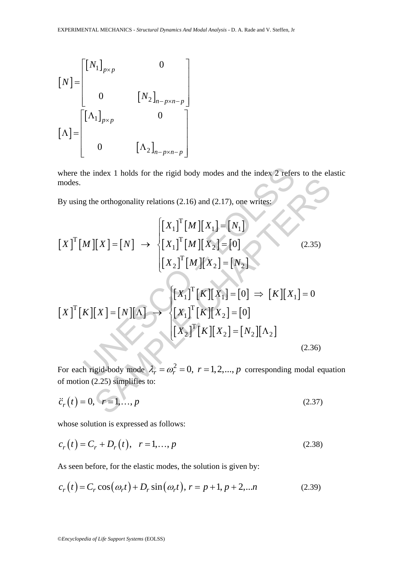$$
\begin{bmatrix} N \end{bmatrix} = \begin{bmatrix} \begin{bmatrix} N_1 \end{bmatrix}_{p \times p} & 0 \\ 0 & \begin{bmatrix} N_2 \end{bmatrix}_{n-p \times n-p} \end{bmatrix}
$$

$$
\begin{bmatrix} \Lambda \end{bmatrix} = \begin{bmatrix} \begin{bmatrix} \Lambda_1 \end{bmatrix}_{p \times p} & 0 \\ 0 & \begin{bmatrix} \Lambda_2 \end{bmatrix}_{n-p \times n-p} \end{bmatrix}
$$

where the index 1 holds for the rigid body modes and the index 2 refers to the elastic modes.

By using the orthogonality relations (2.16) and (2.17), one writes:

where the index 1 holds for the rigid body modes and the index 2 refers to the el  
modes.  
\nBy using the orthogonality relations (2.16) and (2.17), one writes:  
\n
$$
\begin{bmatrix}\nX_1\n\end{bmatrix}^T \begin{bmatrix}\nM\n\end{bmatrix}\n\begin{bmatrix}\nX_1\n\end{bmatrix}^T\n\begin{bmatrix}\nM\n\end{bmatrix}\n\begin{bmatrix}\nX_2\n\end{bmatrix} = [0]\n\begin{bmatrix}\nX_2\n\end{bmatrix}^T\n\begin{bmatrix}\nM\n\end{bmatrix}\n\begin{bmatrix}\nX_2\n\end{bmatrix} = [0]\n\begin{bmatrix}\nX_1\n\end{bmatrix}^T\n\begin{bmatrix}\nK\n\end{bmatrix}\n\begin{bmatrix}\nX_2\n\end{bmatrix} = [0] \Rightarrow \begin{bmatrix}\nK\n\end{bmatrix}\n\begin{bmatrix}\nX_1\n\end{bmatrix} = 0\n\begin{bmatrix}\nX_2\n\end{bmatrix}^T\n\begin{bmatrix}\nK\n\end{bmatrix}\n\begin{bmatrix}\nX_2\n\end{bmatrix} = [0] \Rightarrow \begin{bmatrix}\nK\n\end{bmatrix}\n\begin{bmatrix}\nX_1\n\end{bmatrix} = 0
$$
\n
$$
\begin{bmatrix}\nX_2\n\end{bmatrix}^T\n\begin{bmatrix}\nK\n\end{bmatrix}\n\begin{bmatrix}\nX_2\n\end{bmatrix} = [0]\n\begin{bmatrix}\nX_2\n\end{bmatrix}^T\n\begin{bmatrix}\nK\n\end{bmatrix}\n\begin{bmatrix}\nX_2\n\end{bmatrix} = [N_2]\n\begin{bmatrix}\nA_2\n\end{bmatrix}
$$
\n(2.36)  
\nFor each rigid-body mode  $\lambda_r = \omega_r^2 = 0$ ,  $r = 1, 2, ..., p$  corresponding modal equa of motion (2.25) simplifies to:  
\n $\ddot{c}_r(t) = 0$ ,  $r = 1, ..., p$  (2.37)

For each rigid-body mode  $\lambda_r = \omega_r^2 = 0$ ,  $r = 1,2,..., p$  corresponding modal equation of motion (2.25) simplifies to:

$$
\ddot{c}_r(t) = 0, \quad r = 1, \dots, p \tag{2.37}
$$

whose solution is expressed as follows:

$$
c_r(t) = C_r + D_r(t), \quad r = 1, ..., p
$$
 (2.38)

As seen before, for the elastic modes, the solution is given by:

$$
c_r(t) = C_r \cos(\omega_r t) + D_r \sin(\omega_r t), r = p + 1, p + 2,...n
$$
 (2.39)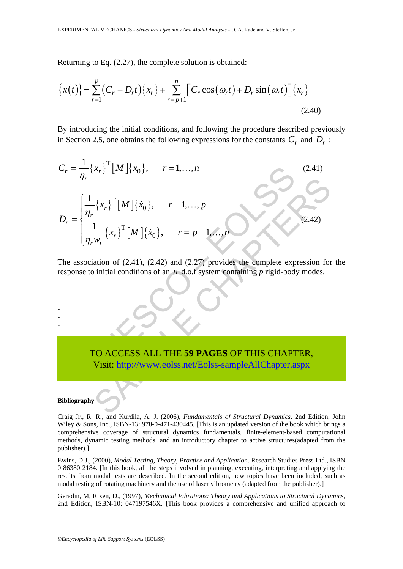Returning to Eq. (2.27), the complete solution is obtained:

$$
\left\{x(t)\right\} = \sum_{r=1}^{p} \left(C_r + D_r t\right) \left\{x_r\right\} + \sum_{r=p+1}^{n} \left[C_r \cos\left(\omega_r t\right) + D_r \sin\left(\omega_r t\right)\right] \left\{x_r\right\} \tag{2.40}
$$

By introducing the initial conditions, and following the procedure described previously in Section 2.5, one obtains the following expressions for the constants  $C_r$  and  $D_r$ :

UNESCO – EOLSS S[AMP](https://www.eolss.net/ebooklib/sc_cart.aspx?File=E6-194-10)LE CHAPTERS { } [ ]{ } <sup>T</sup> 0 <sup>1</sup> , 1, , *r r r C x Mx r n* <sup>η</sup> = = … (2.41) { } [ ]{ } { } [ ]{ } T 0 T 0 <sup>1</sup> , 1, , <sup>1</sup> , 1, , *r r r r r r x Mx r p D x Mx r p n w* η η <sup>⎧</sup> <sup>=</sup> <sup>⎪</sup> ⎪ = ⎨ <sup>⎪</sup> = + ⎪⎩ … … (2.42)

The association of (2.41), (2.42) and (2.27) provides the complete expression for the response to initial conditions of an *n* d.o.f system containing *p* rigid-body modes.

## TO ACCESS ALL THE **59 PAGES** OF THIS CHAPTER, Visit: http://www.eolss.net/Eolss-sampleAllChapter.aspx

#### **Bibliography**

- - -

Craig Jr., R. R., and Kurdila, A. J. (2006), *Fundamentals of Structural Dynamics*. 2nd Edition, John Wiley & Sons, Inc., ISBN-13: 978-0-471-430445. [This is an updated version of the book which brings a comprehensive coverage of structural dynamics fundamentals, finite-element-based computational methods, dynamic testing methods, and an introductory chapter to active structures(adapted from the publisher).]

Ewins, D.J., (2000), *Modal Testing, Theory, Practice and Application*. Research Studies Press Ltd., ISBN 0 86380 2184. [In this book, all the steps involved in planning, executing, interpreting and applying the results from modal tests are described. In the second edition, new topics have been included, such as modal testing of rotating machinery and the use of laser vibrometry (adapted from the publisher).]

Geradin, M, Rixen, D., (1997), *Mechanical Vibrations: Theory and Applications to Structural Dynamics,* 2nd Edition, ISBN-10: 047197546X. [This book provides a comprehensive and unified approach to